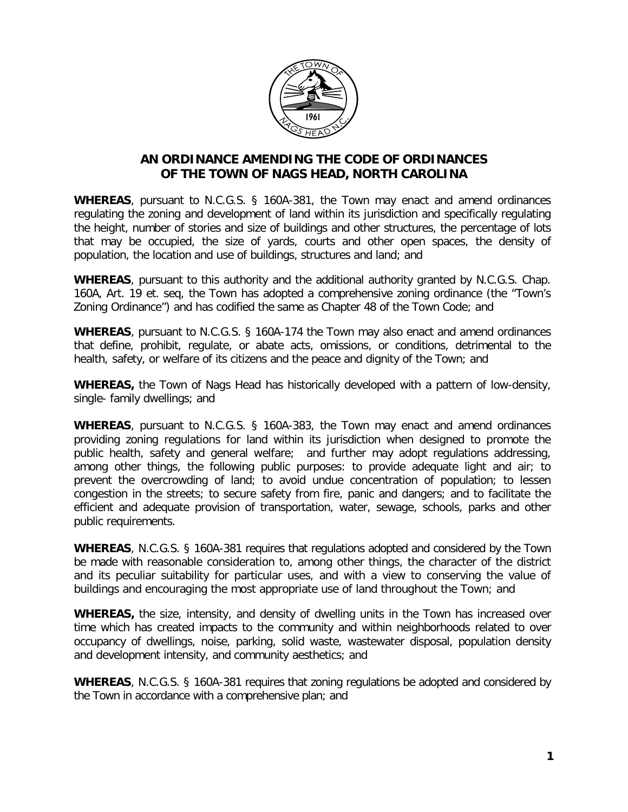

# **AN ORDINANCE AMENDING THE CODE OF ORDINANCES OF THE TOWN OF NAGS HEAD, NORTH CAROLINA**

**WHEREAS**, pursuant to N.C.G.S. § 160A-381, the Town may enact and amend ordinances regulating the zoning and development of land within its jurisdiction and specifically regulating the height, number of stories and size of buildings and other structures, the percentage of lots that may be occupied, the size of yards, courts and other open spaces, the density of population, the location and use of buildings, structures and land; and

**WHEREAS**, pursuant to this authority and the additional authority granted by N.C.G.S. Chap. 160A, Art. 19 et. seq, the Town has adopted a comprehensive zoning ordinance (the "Town's Zoning Ordinance") and has codified the same as Chapter 48 of the Town Code; and

**WHEREAS**, pursuant to N.C.G.S. § 160A-174 the Town may also enact and amend ordinances that define, prohibit, regulate, or abate acts, omissions, or conditions, detrimental to the health, safety, or welfare of its citizens and the peace and dignity of the Town; and

**WHEREAS,** the Town of Nags Head has historically developed with a pattern of low-density, single- family dwellings; and

**WHEREAS**, pursuant to N.C.G.S. § 160A-383, the Town may enact and amend ordinances providing zoning regulations for land within its jurisdiction when designed to promote the public health, safety and general welfare; and further may adopt regulations addressing, among other things, the following public purposes: to provide adequate light and air; to prevent the overcrowding of land; to avoid undue concentration of population; to lessen congestion in the streets; to secure safety from fire, panic and dangers; and to facilitate the efficient and adequate provision of transportation, water, sewage, schools, parks and other public requirements.

**WHEREAS**, N.C.G.S. § 160A-381 requires that regulations adopted and considered by the Town be made with reasonable consideration to, among other things, the character of the district and its peculiar suitability for particular uses, and with a view to conserving the value of buildings and encouraging the most appropriate use of land throughout the Town; and

**WHEREAS,** the size, intensity, and density of dwelling units in the Town has increased over time which has created impacts to the community and within neighborhoods related to over occupancy of dwellings, noise, parking, solid waste, wastewater disposal, population density and development intensity, and community aesthetics; and

**WHEREAS**, N.C.G.S. § 160A-381 requires that zoning regulations be adopted and considered by the Town in accordance with a comprehensive plan; and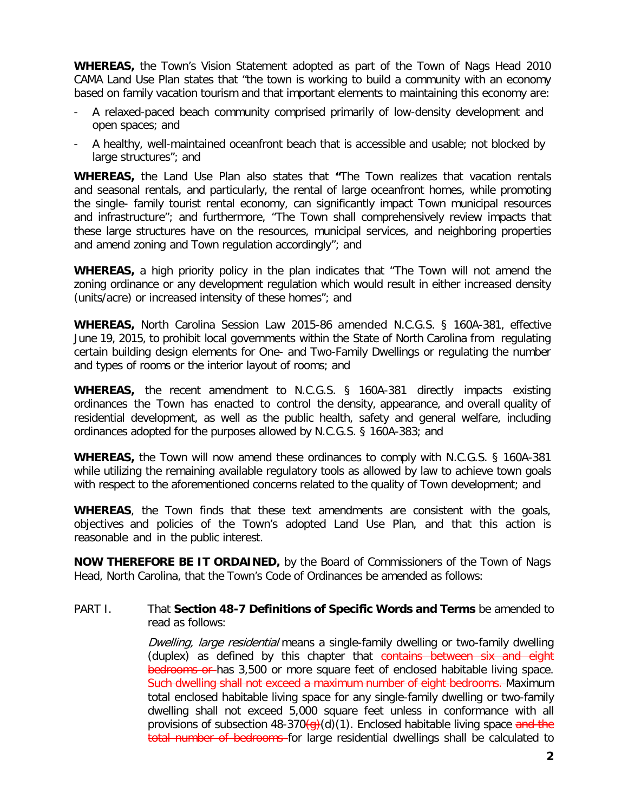**WHEREAS,** the Town's Vision Statement adopted as part of the Town of Nags Head 2010 CAMA Land Use Plan states that "the town is working to build a community with an economy based on family vacation tourism and that important elements to maintaining this economy are:

- A relaxed-paced beach community comprised primarily of low-density development and open spaces; and
- A healthy, well-maintained oceanfront beach that is accessible and usable; not blocked by large structures"; and

**WHEREAS,** the Land Use Plan also states that **"**The Town realizes that vacation rentals and seasonal rentals, and particularly, the rental of large oceanfront homes, while promoting the single- family tourist rental economy, can significantly impact Town municipal resources and infrastructure"; and furthermore, "The Town shall comprehensively review impacts that these large structures have on the resources, municipal services, and neighboring properties and amend zoning and Town regulation accordingly"; and

**WHEREAS,** a high priority policy in the plan indicates that "The Town will not amend the zoning ordinance or any development regulation which would result in either increased density (units/acre) or increased intensity of these homes"; and

**WHEREAS,** North Carolina Session Law 2015-86 amended N.C.G.S. § 160A-381, effective June 19, 2015, to prohibit local governments within the State of North Carolina from regulating certain building design elements for One- and Two-Family Dwellings or regulating the number and types of rooms or the interior layout of rooms; and

**WHEREAS,** the recent amendment to N.C.G.S. § 160A-381 directly impacts existing ordinances the Town has enacted to control the density, appearance, and overall quality of residential development, as well as the public health, safety and general welfare, including ordinances adopted for the purposes allowed by N.C.G.S. § 160A-383; and

**WHEREAS,** the Town will now amend these ordinances to comply with N.C.G.S. § 160A-381 while utilizing the remaining available regulatory tools as allowed by law to achieve town goals with respect to the aforementioned concerns related to the quality of Town development; and

**WHEREAS**, the Town finds that these text amendments are consistent with the goals, objectives and policies of the Town's adopted Land Use Plan, and that this action is reasonable and in the public interest.

**NOW THEREFORE BE IT ORDAINED,** by the Board of Commissioners of the Town of Nags Head, North Carolina, that the Town's Code of Ordinances be amended as follows:

#### PART I. That **Section 48-7 Definitions of Specific Words and Terms** be amended to read as follows:

Dwelling, large residential means a single-family dwelling or two-family dwelling (duplex) as defined by this chapter that contains between six and eight bedrooms or has 3,500 or more square feet of enclosed habitable living space. Such dwelling shall not exceed a maximum number of eight bedrooms. Maximum total enclosed habitable living space for any single-family dwelling or two-family dwelling shall not exceed 5,000 square feet unless in conformance with all provisions of subsection 48-370 $\left(\frac{d}{d}\right)(1)$ . Enclosed habitable living space and the total number of bedrooms for large residential dwellings shall be calculated to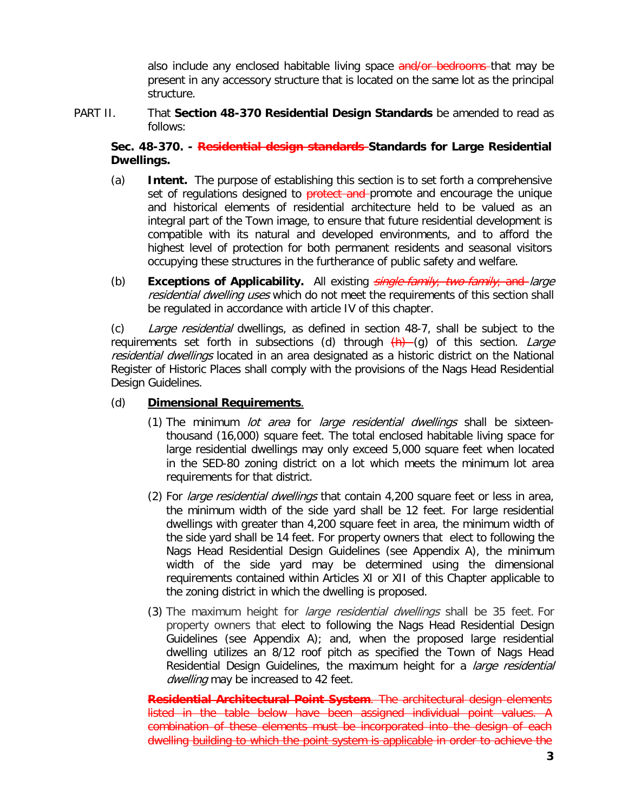also include any enclosed habitable living space and/or bedrooms-that may be present in any accessory structure that is located on the same lot as the principal structure.

## PART II. That **Section 48-370 Residential Design Standards** be amended to read as follows:

# **Sec. 48-370. - Residential design standards Standards for Large Residential Dwellings.**

- (a) **Intent.** The purpose of establishing this section is to set forth a comprehensive set of regulations designed to **protect and** promote and encourage the unique and historical elements of residential architecture held to be valued as an integral part of the Town image, to ensure that future residential development is compatible with its natural and developed environments, and to afford the highest level of protection for both permanent residents and seasonal visitors occupying these structures in the furtherance of public safety and welfare.
- (b) **Exceptions of Applicability.** All existing single-family, two-family, and large residential dwelling uses which do not meet the requirements of this section shall be regulated in accordance with article IV of this chapter.

(c) Large residential dwellings, as defined in section 48-7, shall be subject to the requirements set forth in subsections (d) through  $(h)$  (g) of this section. Large residential dwellings located in an area designated as a historic district on the National Register of Historic Places shall comply with the provisions of the Nags Head Residential Design Guidelines.

# (d) **Dimensional Requirements**.

- (1) The minimum lot area for large residential dwellings shall be sixteenthousand (16,000) square feet. The total enclosed habitable living space for large residential dwellings may only exceed 5,000 square feet when located in the SED-80 zoning district on a lot which meets the minimum lot area requirements for that district.
- (2) For *large residential dwellings* that contain 4,200 square feet or less in area, the minimum width of the side yard shall be 12 feet. For large residential dwellings with greater than 4,200 square feet in area, the minimum width of the side yard shall be 14 feet. For property owners that elect to following the Nags Head Residential Design Guidelines (see Appendix A), the minimum width of the side yard may be determined using the dimensional requirements contained within Articles XI or XII of this Chapter applicable to the zoning district in which the dwelling is proposed.
- (3) The maximum height for *large residential dwellings* shall be 35 feet. For property owners that elect to following the Nags Head Residential Design Guidelines (see Appendix A); and, when the proposed large residential dwelling utilizes an 8/12 roof pitch as specified the Town of Nags Head Residential Design Guidelines, the maximum height for a *large residential* dwelling may be increased to 42 feet.

**Residential Architectural Point System**. The architectural design elements listed in the table below have been assigned individual point values. A combination of these elements must be incorporated into the design of each dwelling building to which the point system is applicable in order to achieve the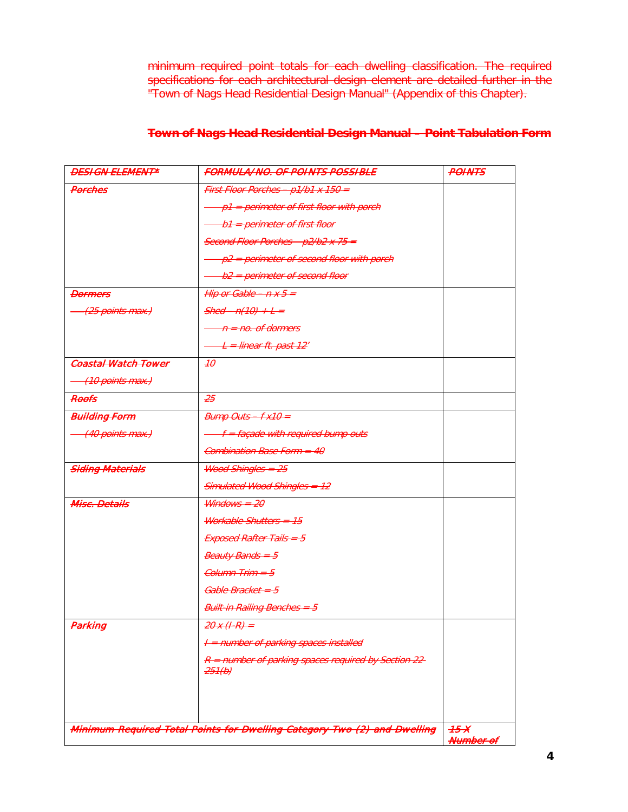minimum required point totals for each dwelling classification. The required specifications for each architectural design element are detailed further in the "Town of Nags Head Residential Design Manual" (Appendix of this Chapter).

| <b>Town of Nage Hoad Posidential Design Manual - Point Tobulation Form</b> |  |
|----------------------------------------------------------------------------|--|
| <u>TUWITUL NAYS HGAY NGSKIGHNAL DGSKJILIWAHAAL – LUINE TADUIANUN FUHIT</u> |  |

| <b>DESIGN ELEMENT*</b>        | <b>FORMULA/NO. OF POINTS POSSIBLE</b>                                    | <b>POINTS</b> |
|-------------------------------|--------------------------------------------------------------------------|---------------|
| Porches                       | First Floor Porches - p1/b1 x 150 =                                      |               |
|                               | p1 = perimeter of first floor with porch                                 |               |
|                               | b1 = perimeter of first floor                                            |               |
|                               | Second Floor Porches - p2/b2 x 75 =                                      |               |
|                               | p2 = perimeter of second floor with porch                                |               |
|                               | b2 = perimeter of second floor                                           |               |
| <b>Dormers</b>                | Hip or Gable $- n x 5 -$                                                 |               |
| <del>.(25 points max.)</del>  | $Shed - n(10) + L =$                                                     |               |
|                               | $n = no$ . of dormers                                                    |               |
|                               | L = linear ft. past 12'                                                  |               |
| <b>Coastal Watch Tower</b>    | H                                                                        |               |
| <del>-(10 points max.)</del>  |                                                                          |               |
| Reefs                         | $-25$                                                                    |               |
| <b>Bullding Form</b>          | $Bump$ Outs $-Fx10 =$                                                    |               |
| <del>- (40 points max.)</del> | <del>f = façade with required bump outs</del>                            |               |
|                               | <del>Combination Base Form = 40</del>                                    |               |
| <b>Siding Materials</b>       | <b>Wood Shingles = 25</b>                                                |               |
|                               | Simulated Wood Shingles = 12                                             |               |
| <b>Misc. Details</b>          | $W$ <i>indows = 20</i>                                                   |               |
|                               | Workable Shutters = 15                                                   |               |
|                               | Exposed Rafter Tails = 5                                                 |               |
|                               | <b>Beauty Bands = 5</b>                                                  |               |
|                               | Column Trim = 5                                                          |               |
|                               | Gable Bracket = 5                                                        |               |
|                               | <b>Built-in Railing Benches = 5</b>                                      |               |
| <del>Parking</del>            | $20x(1-R)$ =                                                             |               |
|                               | I = number of parking spaces installed                                   |               |
|                               | R = number of parking spaces required by Section 22-<br>$-251(b)$        |               |
|                               |                                                                          |               |
|                               |                                                                          |               |
|                               | Minimum Required Total Points for Dwelling Category Two (2) and Dwelling | 75X           |
|                               |                                                                          | Number of     |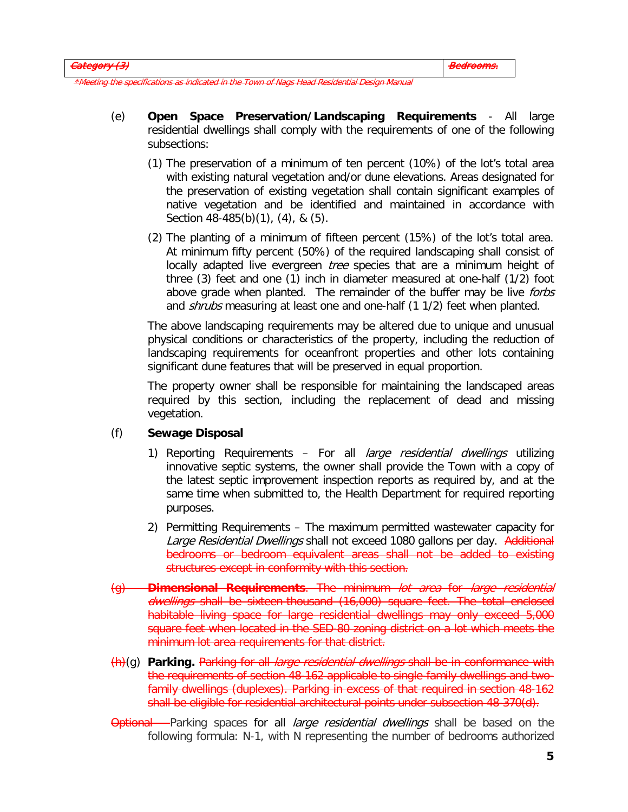as indicated in the Town of Nags Head Residential De

- (e) **Open Space Preservation/Landscaping Requirements** All large residential dwellings shall comply with the requirements of one of the following subsections:
	- (1) The preservation of a minimum of ten percent (10%) of the lot's total area with existing natural vegetation and/or dune elevations. Areas designated for the preservation of existing vegetation shall contain significant examples of native vegetation and be identified and maintained in accordance with Section 48-485(b)(1), (4), & (5).
	- (2) The planting of a minimum of fifteen percent (15%) of the lot's total area. At minimum fifty percent (50%) of the required landscaping shall consist of locally adapted live evergreen tree species that are a minimum height of three (3) feet and one (1) inch in diameter measured at one-half (1/2) foot above grade when planted. The remainder of the buffer may be live forbs and *shrubs* measuring at least one and one-half (1 1/2) feet when planted.

The above landscaping requirements may be altered due to unique and unusual physical conditions or characteristics of the property, including the reduction of landscaping requirements for oceanfront properties and other lots containing significant dune features that will be preserved in equal proportion.

The property owner shall be responsible for maintaining the landscaped areas required by this section, including the replacement of dead and missing vegetation.

# (f) **Sewage Disposal**

- 1) Reporting Requirements For all *large residential dwellings* utilizing innovative septic systems, the owner shall provide the Town with a copy of the latest septic improvement inspection reports as required by, and at the same time when submitted to, the Health Department for required reporting purposes.
- 2) Permitting Requirements The maximum permitted wastewater capacity for Large Residential Dwellings shall not exceed 1080 gallons per day. Additional bedrooms or bedroom equivalent areas shall not be added to existing structures except in conformity with this section.
- (g) **Dimensional Requirements**. The minimum lot area for large residential dwellings shall be sixteen-thousand (16,000) square feet. The total enclosed habitable living space for large residential dwellings may only exceed 5,000 square feet when located in the SED-80 zoning district on a lot which meets the minimum lot area requirements for that district.
- (h)(g) **Parking.** Parking for all large residential dwellings shall be in conformance with the requirements of section 48-162 applicable to single-family dwellings and twofamily dwellings (duplexes). Parking in excess of that required in section 48-162 shall be eligible for residential architectural points under subsection 48-370(d).
- Optional Parking spaces for all *large residential dwellings* shall be based on the following formula: N-1, with N representing the number of bedrooms authorized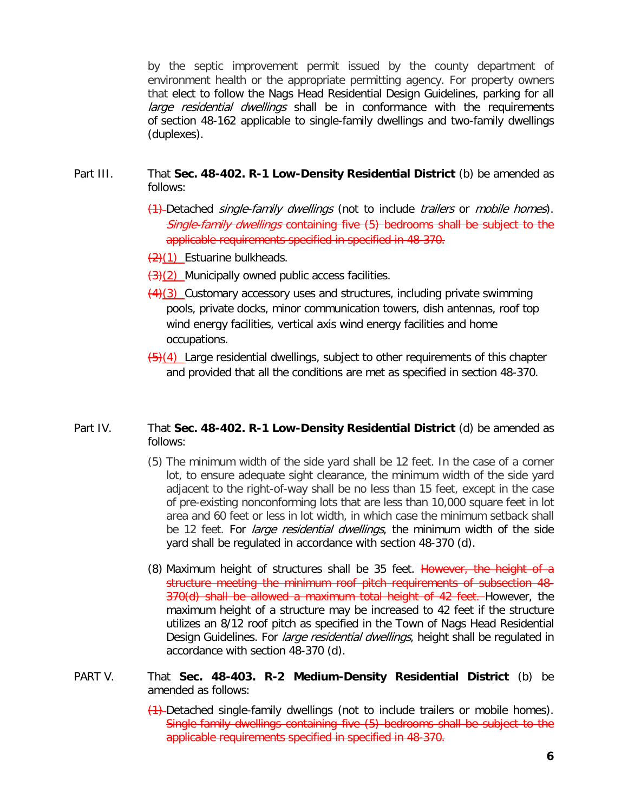by the septic improvement permit issued by the county department of environment health or the appropriate permitting agency. For property owners that elect to follow the Nags Head Residential Design Guidelines, parking for all large residential dwellings shall be in conformance with the requirements of [section 48-162](https://www.municode.com/library/nc/nags_head/codes/code_of_ordinances?nodeId=PTIICOOR_CH48ZO_ARTVOREPALORE_S48-162PALORESIMITMIDUDWUN) applicable to single-family dwellings and two-family dwellings (duplexes).

#### Part III. That **Sec. 48-402. R-1 Low-Density Residential District** (b) be amended as follows:

- (1) Detached *single-family dwellings* (not to include *trailers* or *mobile homes*). Single-family dwellings containing five (5) bedrooms shall be subject to the applicable requirements specified in specified in 48-370.
- $\left(2\right)(1)$  Estuarine bulkheads.
- $\left(\frac{3}{2}\right)$  Municipally owned public access facilities.
- $\left(\frac{4}{3}\right)$  Customary accessory uses and structures, including private swimming pools, private docks, minor communication towers, dish antennas, roof top wind energy facilities, vertical axis wind energy facilities and home occupations.
- $\left(\frac{5}{4}\right)$  Large residential dwellings, subject to other requirements of this chapter and provided that all the conditions are met as specified in [section 48-370.](https://www.municode.com/library/)

### Part IV. That **Sec. 48-402. R-1 Low-Density Residential District** (d) be amended as follows:

- (5) The minimum width of the side yard shall be 12 feet. In the case of a corner lot, to ensure adequate sight clearance, the minimum width of the side yard adjacent to the right-of-way shall be no less than 15 feet, except in the case of pre-existing nonconforming lots that are less than 10,000 square feet in lot area and 60 feet or less in lot width, in which case the minimum setback shall be 12 feet. For *large residential dwellings*, the minimum width of the side yard shall be regulated in accordance with section 48-370 (d).
- (8) Maximum height of structures shall be 35 feet. However, the height of a structure meeting the minimum roof pitch requirements of subsection 48- 370(d) shall be allowed a maximum total height of 42 feet. However, the maximum height of a structure may be increased to 42 feet if the structure utilizes an 8/12 roof pitch as specified in the Town of Nags Head Residential Design Guidelines. For *large residential dwellings*, height shall be regulated in accordance with section 48-370 (d).

## PART V. That **Sec. 48-403. R-2 Medium-Density Residential District** (b) be amended as follows:

(1) Detached single-family dwellings (not to include trailers or mobile homes). Single-family dwellings containing five (5) bedrooms shall be subject to the applicable requirements specified in specified in 48-370.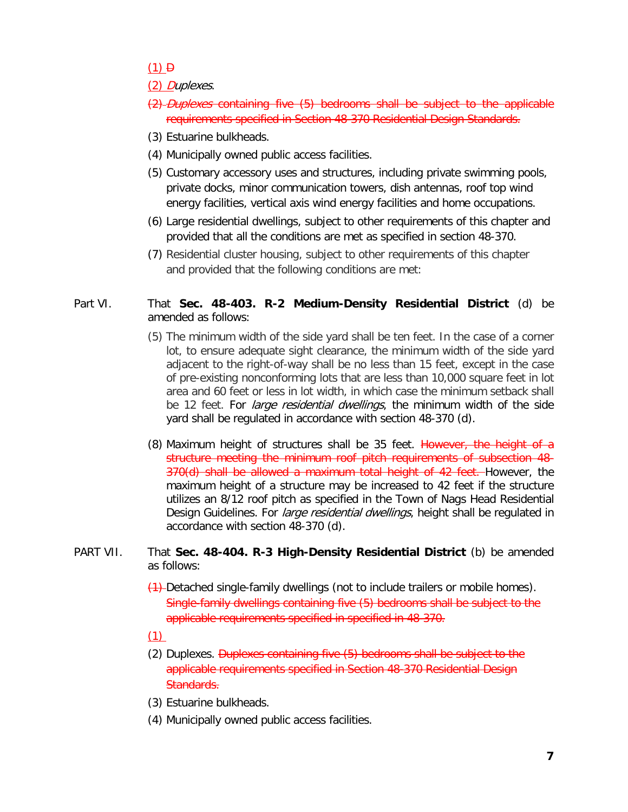## $(1)$   $\theta$

## (2) Duplexes.

- (2) Duplexes containing five (5) bedrooms shall be subject to the applicable requirements specified in Section 48-370 Residential Design Standards.
- (3) Estuarine bulkheads.
- (4) Municipally owned public access facilities.
- (5) Customary accessory uses and structures, including private swimming pools, private docks, minor communication towers, dish antennas, roof top wind energy facilities, vertical axis wind energy facilities and home occupations.
- (6) Large residential dwellings, subject to other requirements of this chapter and provided that all the conditions are met as specified in [section 48-370.](https://www.municode.com/library/)
- (7) Residential cluster housing, subject to other requirements of this chapter and provided that the following conditions are met:

## Part VI. That **Sec. 48-403. R-2 Medium-Density Residential District** (d) be amended as follows:

- (5) The minimum width of the side yard shall be ten feet. In the case of a corner lot, to ensure adequate sight clearance, the minimum width of the side yard adjacent to the right-of-way shall be no less than 15 feet, except in the case of pre-existing nonconforming lots that are less than 10,000 square feet in lot area and 60 feet or less in lot width, in which case the minimum setback shall be 12 feet. For *large residential dwellings*, the minimum width of the side yard shall be regulated in accordance with section 48-370 (d).
- (8) Maximum height of structures shall be 35 feet. However, the height of a structure meeting the minimum roof pitch requirements of subsection 48- 370(d) shall be allowed a maximum total height of 42 feet. However, the maximum height of a structure may be increased to 42 feet if the structure utilizes an 8/12 roof pitch as specified in the Town of Nags Head Residential Design Guidelines. For *large residential dwellings*, height shall be regulated in accordance with section 48-370 (d).

### PART VII. That **Sec. 48-404. R-3 High-Density Residential District** (b) be amended as follows:

- (1) Detached single-family dwellings (not to include trailers or mobile homes). Single-family dwellings containing five (5) bedrooms shall be subject to the applicable requirements specified in specified in 48-370.
- (1)
- (2) Duplexes. Duplexes containing five (5) bedrooms shall be subject to the applicable requirements specified in Section 48-370 Residential Design Standards.
- (3) Estuarine bulkheads.
- (4) Municipally owned public access facilities.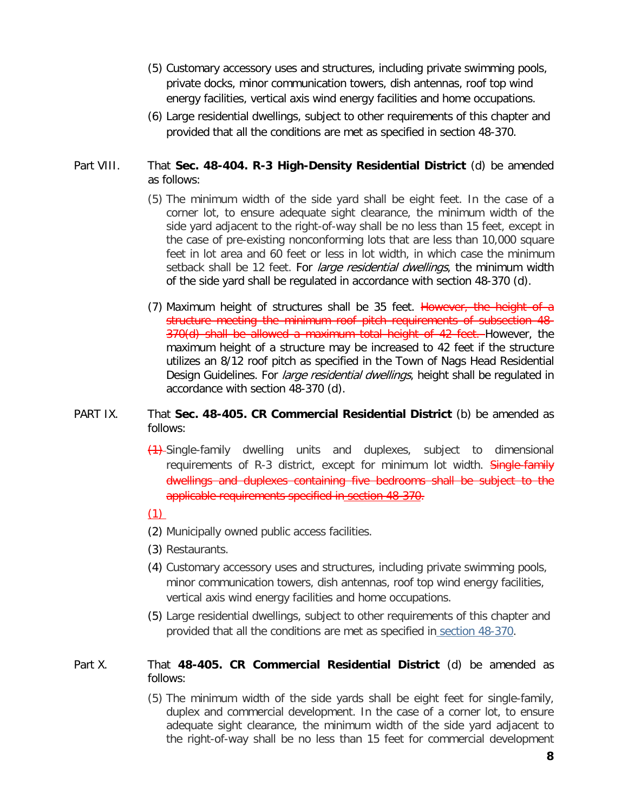- (5) Customary accessory uses and structures, including private swimming pools, private docks, minor communication towers, dish antennas, roof top wind energy facilities, vertical axis wind energy facilities and home occupations.
- (6) Large residential dwellings, subject to other requirements of this chapter and provided that all the conditions are met as specified in [section 48-370.](https://www.municode.com/library/)

## Part VIII. That **Sec. 48-404. R-3 High-Density Residential District** (d) be amended as follows:

- (5) The minimum width of the side yard shall be eight feet. In the case of a corner lot, to ensure adequate sight clearance, the minimum width of the side yard adjacent to the right-of-way shall be no less than 15 feet, except in the case of pre-existing nonconforming lots that are less than 10,000 square feet in lot area and 60 feet or less in lot width, in which case the minimum setback shall be 12 feet. For *large residential dwellings*, the minimum width of the side yard shall be regulated in accordance with section 48-370 (d).
- (7) Maximum height of structures shall be 35 feet. However, the height of a structure meeting the minimum roof pitch requirements of subsection 48- 370(d) shall be allowed a maximum total height of 42 feet. However, the maximum height of a structure may be increased to 42 feet if the structure utilizes an 8/12 roof pitch as specified in the Town of Nags Head Residential Design Guidelines. For *large residential dwellings*, height shall be regulated in accordance with section 48-370 (d).

#### PART IX. That **Sec. 48-405. CR Commercial Residential District** (b) be amended as follows:

(1) Single-family dwelling units and duplexes, subject to dimensional requirements of R-3 district, except for minimum lot width. Single-family dwellings and duplexes containing five bedrooms shall be subject to the applicable requirements specified in section 48-370.

### (1)

- (2) Municipally owned public access facilities.
- (3) Restaurants.
- (4) Customary accessory uses and structures, including private swimming pools, minor communication towers, dish antennas, roof top wind energy facilities, vertical axis wind energy facilities and home occupations.
- (5) Large residential dwellings, subject to other requirements of this chapter and provided that all the conditions are met as specified in [section 48-370.](https://www.municode.com/library/nc/nags_head/codes/code_of_ordinances?nodeId=PTIICOOR_CH48ZO_ARTXMIPR_S48-370REDEST)

## Part X. That **48-405. CR Commercial Residential District** (d) be amended as follows:

(5) The minimum width of the side yards shall be eight feet for single-family, duplex and commercial development. In the case of a corner lot, to ensure adequate sight clearance, the minimum width of the side yard adjacent to the right-of-way shall be no less than 15 feet for commercial development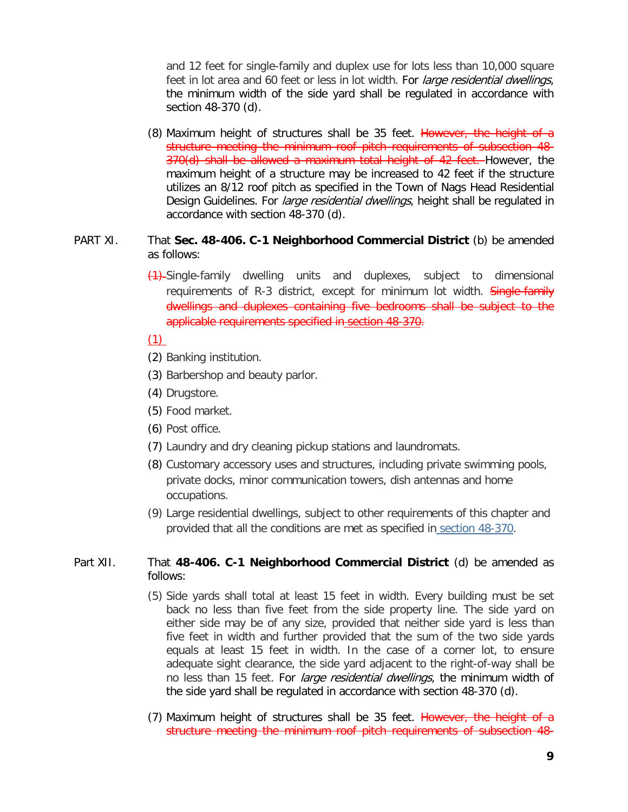and 12 feet for single-family and duplex use for lots less than 10,000 square feet in lot area and 60 feet or less in lot width. For *large residential dwellings*, the minimum width of the side yard shall be regulated in accordance with section 48-370 (d).

(8) Maximum height of structures shall be 35 feet. However, the height of a structure meeting the minimum roof pitch requirements of subsection 48- 370(d) shall be allowed a maximum total height of 42 feet. However, the maximum height of a structure may be increased to 42 feet if the structure utilizes an 8/12 roof pitch as specified in the Town of Nags Head Residential Design Guidelines. For *large residential dwellings*, height shall be regulated in accordance with section 48-370 (d).

### PART XI. That **Sec. 48-406. C-1 Neighborhood Commercial District** (b) be amended as follows:

(1) Single-family dwelling units and duplexes, subject to dimensional requirements of R-3 district, except for minimum lot width. Single-family dwellings and duplexes containing five bedrooms shall be subject to the applicable requirements specified in section 48-370.

# (1)

- (2) Banking institution.
- (3) Barbershop and beauty parlor.
- (4) Drugstore.
- (5) Food market.
- (6) Post office.
- (7) Laundry and dry cleaning pickup stations and laundromats.
- (8) Customary accessory uses and structures, including private swimming pools, private docks, minor communication towers, dish antennas and home occupations.
- (9) Large residential dwellings, subject to other requirements of this chapter and provided that all the conditions are met as specified in [section 48-370.](https://www.municode.com/library/nc/nags_head/codes/code_of_ordinances?nodeId=PTIICOOR_CH48ZO_ARTXMIPR_S48-370REDEST)

### Part XII. That **48-406. C-1 Neighborhood Commercial District** (d) be amended as follows:

- (5) Side yards shall total at least 15 feet in width. Every building must be set back no less than five feet from the side property line. The side yard on either side may be of any size, provided that neither side yard is less than five feet in width and further provided that the sum of the two side yards equals at least 15 feet in width. In the case of a corner lot, to ensure adequate sight clearance, the side yard adjacent to the right-of-way shall be no less than 15 feet. For *large residential dwellings*, the minimum width of the side yard shall be regulated in accordance with section 48-370 (d).
- (7) Maximum height of structures shall be 35 feet. However, the height of a structure meeting the minimum roof pitch requirements of subsection 48-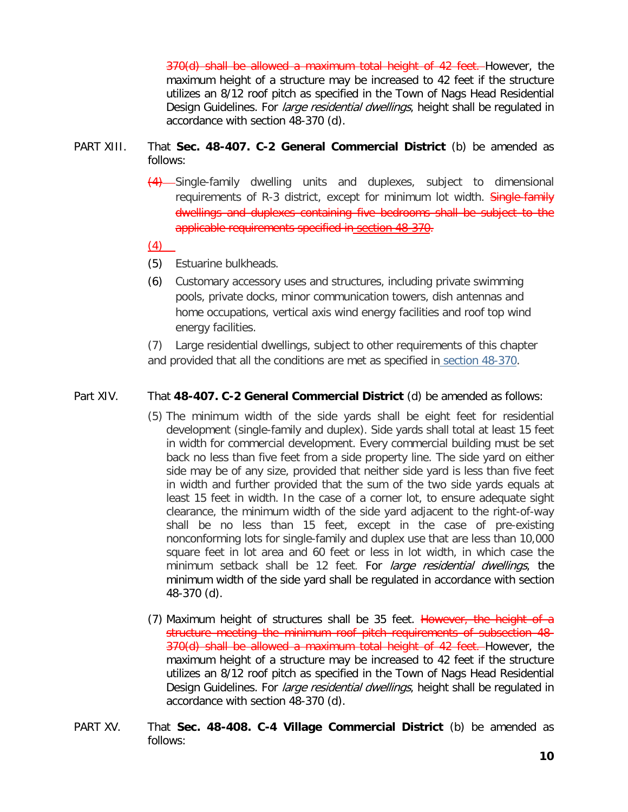370(d) shall be allowed a maximum total height of 42 feet. However, the maximum height of a structure may be increased to 42 feet if the structure utilizes an 8/12 roof pitch as specified in the Town of Nags Head Residential Design Guidelines. For *large residential dwellings*, height shall be regulated in accordance with section 48-370 (d).

- PART XIII. That **Sec. 48-407. C-2 General Commercial District** (b) be amended as follows:
	- (4) Single-family dwelling units and duplexes, subject to dimensional requirements of R-3 district, except for minimum lot width. Single-family dwellings and duplexes containing five bedrooms shall be subject to the applicable requirements specified in section 48-370.

(4)

- (5) Estuarine bulkheads.
- (6) Customary accessory uses and structures, including private swimming pools, private docks, minor communication towers, dish antennas and home occupations, vertical axis wind energy facilities and roof top wind energy facilities.

(7) Large residential dwellings, subject to other requirements of this chapter and provided that all the conditions are met as specified in [section 48-370.](https://www.municode.com/library/nc/nags_head/codes/code_of_ordinances?nodeId=PTIICOOR_CH48ZO_ARTXMIPR_S48-370REDEST)

## Part XIV. That **48-407. C-2 General Commercial District** (d) be amended as follows:

- (5) The minimum width of the side yards shall be eight feet for residential development (single-family and duplex). Side yards shall total at least 15 feet in width for commercial development. Every commercial building must be set back no less than five feet from a side property line. The side yard on either side may be of any size, provided that neither side yard is less than five feet in width and further provided that the sum of the two side yards equals at least 15 feet in width. In the case of a corner lot, to ensure adequate sight clearance, the minimum width of the side yard adjacent to the right-of-way shall be no less than 15 feet, except in the case of pre-existing nonconforming lots for single-family and duplex use that are less than 10,000 square feet in lot area and 60 feet or less in lot width, in which case the minimum setback shall be 12 feet. For large residential dwellings, the minimum width of the side yard shall be regulated in accordance with section 48-370 (d).
- (7) Maximum height of structures shall be 35 feet. However, the height of a structure meeting the minimum roof pitch requirements of subsection 48- 370(d) shall be allowed a maximum total height of 42 feet. However, the maximum height of a structure may be increased to 42 feet if the structure utilizes an 8/12 roof pitch as specified in the Town of Nags Head Residential Design Guidelines. For large residential dwellings, height shall be regulated in accordance with section 48-370 (d).
- PART XV. That **Sec. 48-408. C-4 Village Commercial District** (b) be amended as follows: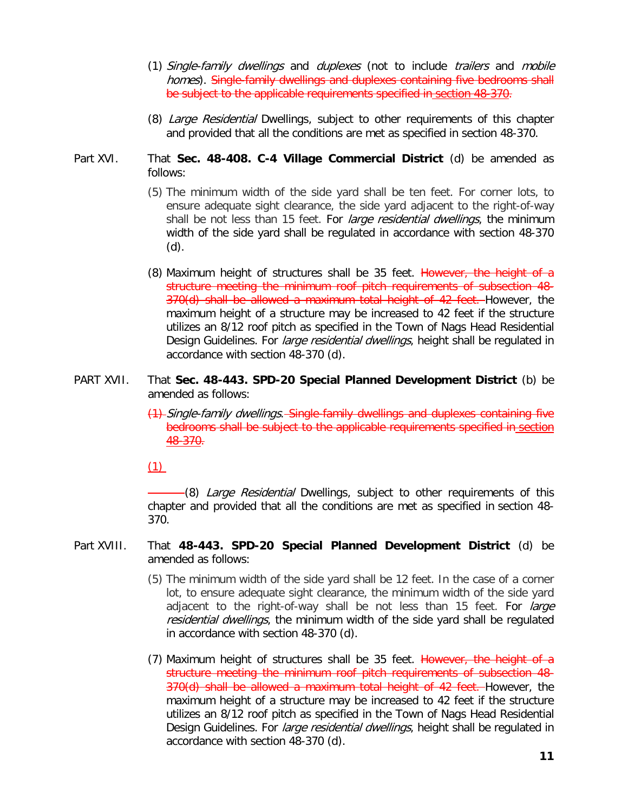- (1) Single-family dwellings and duplexes (not to include trailers and mobile homes). Single-family dwellings and duplexes containing five bedrooms shall be subject to the applicable requirements specified in section 48-370.
- (8) Large Residential Dwellings, subject to other requirements of this chapter and provided that all the conditions are met as specified in [section 48-370.](https://www.municode.com/library/nc/nags_head/codes/code_of_ordinances?nodeId=PTIICOOR_CH48ZO_ARTXMIPR_S48-370REDEST)
- Part XVI. That **Sec. 48-408. C-4 Village Commercial District** (d) be amended as follows:
	- (5) The minimum width of the side yard shall be ten feet. For corner lots, to ensure adequate sight clearance, the side yard adjacent to the right-of-way shall be not less than 15 feet. For *large residential dwellings*, the minimum width of the side yard shall be regulated in accordance with section 48-370 (d).
	- (8) Maximum height of structures shall be 35 feet. However, the height of a structure meeting the minimum roof pitch requirements of subsection 48- 370(d) shall be allowed a maximum total height of 42 feet. However, the maximum height of a structure may be increased to 42 feet if the structure utilizes an 8/12 roof pitch as specified in the Town of Nags Head Residential Design Guidelines. For *large residential dwellings*, height shall be regulated in accordance with section 48-370 (d).
- PART XVII. That **Sec. 48-443. SPD-20 Special Planned Development District** (b) be amended as follows:
	- (1) Single-family dwellings. Single-family dwellings and duplexes containing five bedrooms shall be subject to the applicable requirements specified in section 48-370.
	- (1)

(8) Large Residential Dwellings, subject to other requirements of this chapter and provided that all the conditions are met as specified in [section 48-](https://www.municode.com/library/nc/nags_head/codes/code_of_ordinances?nodeId=PTIICOOR_CH48ZO_ARTXMIPR_S48-370REDEST) [370.](https://www.municode.com/library/nc/nags_head/codes/code_of_ordinances?nodeId=PTIICOOR_CH48ZO_ARTXMIPR_S48-370REDEST)

- Part XVIII. That **48-443. SPD-20 Special Planned Development District** (d) be amended as follows:
	- (5) The minimum width of the side yard shall be 12 feet. In the case of a corner lot, to ensure adequate sight clearance, the minimum width of the side yard adjacent to the right-of-way shall be not less than 15 feet. For *large* residential dwellings, the minimum width of the side yard shall be regulated in accordance with section 48-370 (d).
	- (7) Maximum height of structures shall be 35 feet. However, the height of a structure meeting the minimum roof pitch requirements of subsection 48- 370(d) shall be allowed a maximum total height of 42 feet. However, the maximum height of a structure may be increased to 42 feet if the structure utilizes an 8/12 roof pitch as specified in the Town of Nags Head Residential Design Guidelines. For *large residential dwellings*, height shall be regulated in accordance with section 48-370 (d).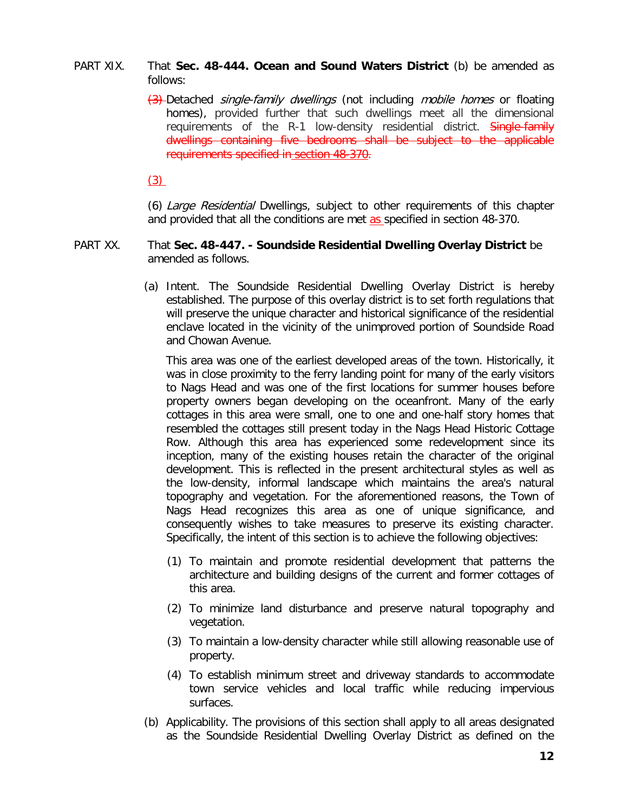- PART XIX. That **Sec. 48-444. Ocean and Sound Waters District** (b) be amended as follows:
	- $\left(3\right)$ -Detached *single-family dwellings* (not including *mobile homes* or floating homes), provided further that such dwellings meet all the dimensional requirements of the R-1 low-density residential district. **Single-family** dwellings containing five bedrooms shall be subject to the applicable requirements specified in section 48-370.

 $(3)$ 

(6) Large Residential Dwellings, subject to other requirements of this chapter and provided that all the conditions are met as specified in [section 48-370.](https://www.municode.com/library/nc/nags_head/codes/code_of_ordinances?nodeId=PTIICOOR_CH48ZO_ARTXMIPR_S48-370REDEST)

#### PART XX. That **Sec. 48-447. - Soundside Residential Dwelling Overlay District** be amended as follows.

(a) Intent. The Soundside Residential Dwelling Overlay District is hereby established. The purpose of this overlay district is to set forth regulations that will preserve the unique character and historical significance of the residential enclave located in the vicinity of the unimproved portion of Soundside Road and Chowan Avenue.

This area was one of the earliest developed areas of the town. Historically, it was in close proximity to the ferry landing point for many of the early visitors to Nags Head and was one of the first locations for summer houses before property owners began developing on the oceanfront. Many of the early cottages in this area were small, one to one and one-half story homes that resembled the cottages still present today in the Nags Head Historic Cottage Row. Although this area has experienced some redevelopment since its inception, many of the existing houses retain the character of the original development. This is reflected in the present architectural styles as well as the low-density, informal landscape which maintains the area's natural topography and vegetation. For the aforementioned reasons, the Town of Nags Head recognizes this area as one of unique significance, and consequently wishes to take measures to preserve its existing character. Specifically, the intent of this section is to achieve the following objectives:

- (1) To maintain and promote residential development that patterns the architecture and building designs of the current and former cottages of this area.
- (2) To minimize land disturbance and preserve natural topography and vegetation.
- (3) To maintain a low-density character while still allowing reasonable use of property.
- (4) To establish minimum street and driveway standards to accommodate town service vehicles and local traffic while reducing impervious surfaces.
- (b) Applicability. The provisions of this section shall apply to all areas designated as the Soundside Residential Dwelling Overlay District as defined on the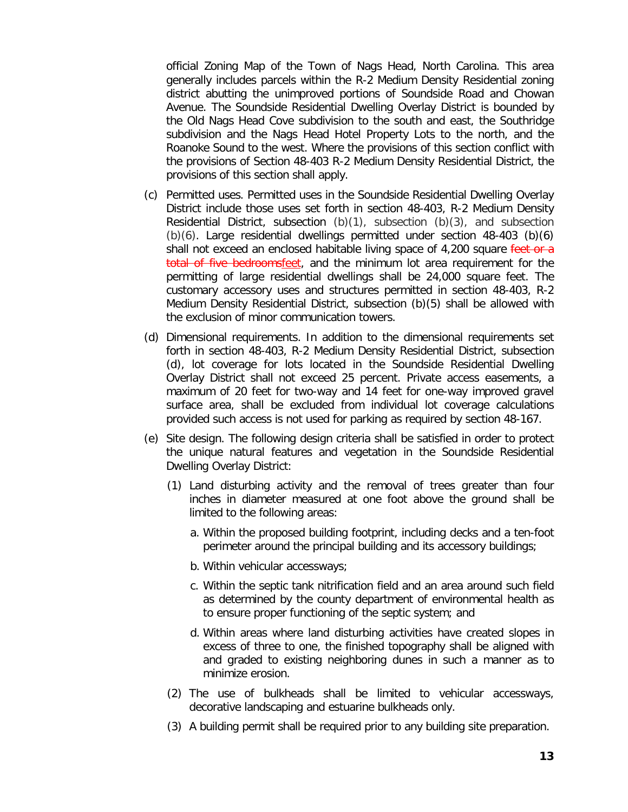official Zoning Map of the Town of Nags Head, North Carolina. This area generally includes parcels within the R-2 Medium Density Residential zoning district abutting the unimproved portions of Soundside Road and Chowan Avenue. The Soundside Residential Dwelling Overlay District is bounded by the Old Nags Head Cove subdivision to the south and east, the Southridge subdivision and the Nags Head Hotel Property Lots to the north, and the Roanoke Sound to the west. Where the provisions of this section conflict with the provisions of Section 48-403 R-2 Medium Density Residential District, the provisions of this section shall apply.

- (c) Permitted uses. Permitted uses in the Soundside Residential Dwelling Overlay District include those uses set forth in section 48-403, R-2 Medium Density Residential District, subsection  $(b)(1)$ , subsection  $(b)(3)$ , and subsection  $(b)(6)$ . Large residential dwellings permitted under section 48-403 (b) $(6)$ shall not exceed an enclosed habitable living space of  $4,200$  square feet or a total of five bedroomsfeet, and the minimum lot area requirement for the permitting of large residential dwellings shall be 24,000 square feet. The customary accessory uses and structures permitted in section 48-403, R-2 Medium Density Residential District, subsection (b)(5) shall be allowed with the exclusion of minor communication towers.
- (d) Dimensional requirements. In addition to the dimensional requirements set forth in section 48-403, R-2 Medium Density Residential District, subsection (d), lot coverage for lots located in the Soundside Residential Dwelling Overlay District shall not exceed 25 percent. Private access easements, a maximum of 20 feet for two-way and 14 feet for one-way improved gravel surface area, shall be excluded from individual lot coverage calculations provided such access is not used for parking as required by section 48-167.
- (e) Site design. The following design criteria shall be satisfied in order to protect the unique natural features and vegetation in the Soundside Residential Dwelling Overlay District:
	- (1) Land disturbing activity and the removal of trees greater than four inches in diameter measured at one foot above the ground shall be limited to the following areas:
		- a. Within the proposed building footprint, including decks and a ten-foot perimeter around the principal building and its accessory buildings;
		- b. Within vehicular accessways;
		- c. Within the septic tank nitrification field and an area around such field as determined by the county department of environmental health as to ensure proper functioning of the septic system; and
		- d. Within areas where land disturbing activities have created slopes in excess of three to one, the finished topography shall be aligned with and graded to existing neighboring dunes in such a manner as to minimize erosion.
	- (2) The use of bulkheads shall be limited to vehicular accessways, decorative landscaping and estuarine bulkheads only.
	- (3) A building permit shall be required prior to any building site preparation.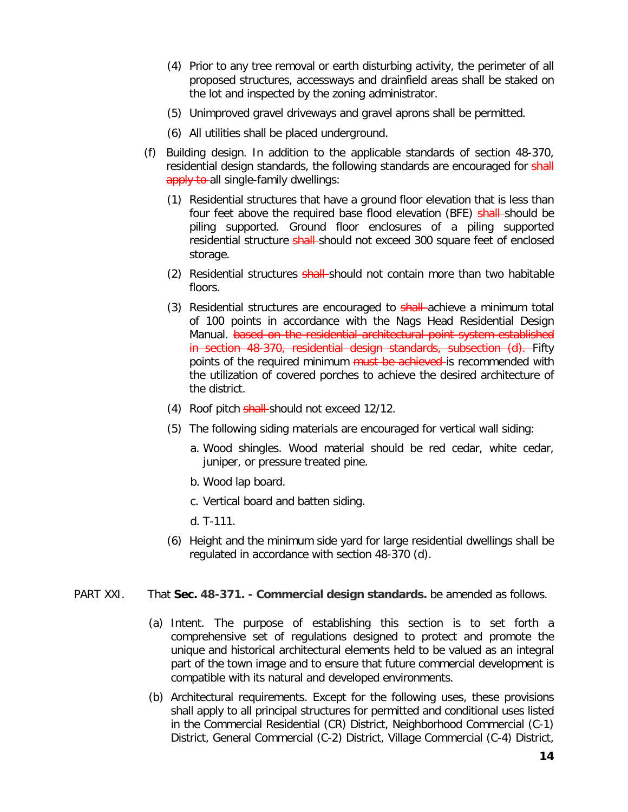- (4) Prior to any tree removal or earth disturbing activity, the perimeter of all proposed structures, accessways and drainfield areas shall be staked on the lot and inspected by the zoning administrator.
- (5) Unimproved gravel driveways and gravel aprons shall be permitted.
- (6) All utilities shall be placed underground.
- (f) Building design. In addition to the applicable standards of section 48-370, residential design standards, the following standards are encouraged for shall apply to all single-family dwellings:
	- (1) Residential structures that have a ground floor elevation that is less than four feet above the required base flood elevation (BFE) shall should be piling supported. Ground floor enclosures of a piling supported residential structure shall-should not exceed 300 square feet of enclosed storage.
	- (2) Residential structures shall-should not contain more than two habitable floors.
	- (3) Residential structures are encouraged to shall-achieve a minimum total of 100 points in accordance with the Nags Head Residential Design Manual. based on the residential architectural point system established in section 48-370, residential design standards, subsection (d). Fifty points of the required minimum must be achieved is recommended with the utilization of covered porches to achieve the desired architecture of the district.
	- (4) Roof pitch shall-should not exceed 12/12.
	- (5) The following siding materials are encouraged for vertical wall siding:
		- a. Wood shingles. Wood material should be red cedar, white cedar, juniper, or pressure treated pine.
		- b. Wood lap board.
		- c. Vertical board and batten siding.
		- d. T-111.
	- (6) Height and the minimum side yard for large residential dwellings shall be regulated in accordance with section 48-370 (d).
- PART XXI. That **Sec. 48-371. - Commercial design standards.** be amended as follows.
	- (a) Intent. The purpose of establishing this section is to set forth a comprehensive set of regulations designed to protect and promote the unique and historical architectural elements held to be valued as an integral part of the town image and to ensure that future commercial development is compatible with its natural and developed environments.
	- (b) Architectural requirements. Except for the following uses, these provisions shall apply to all principal structures for permitted and conditional uses listed in the Commercial Residential (CR) District, Neighborhood Commercial (C-1) District, General Commercial (C-2) District, Village Commercial (C-4) District,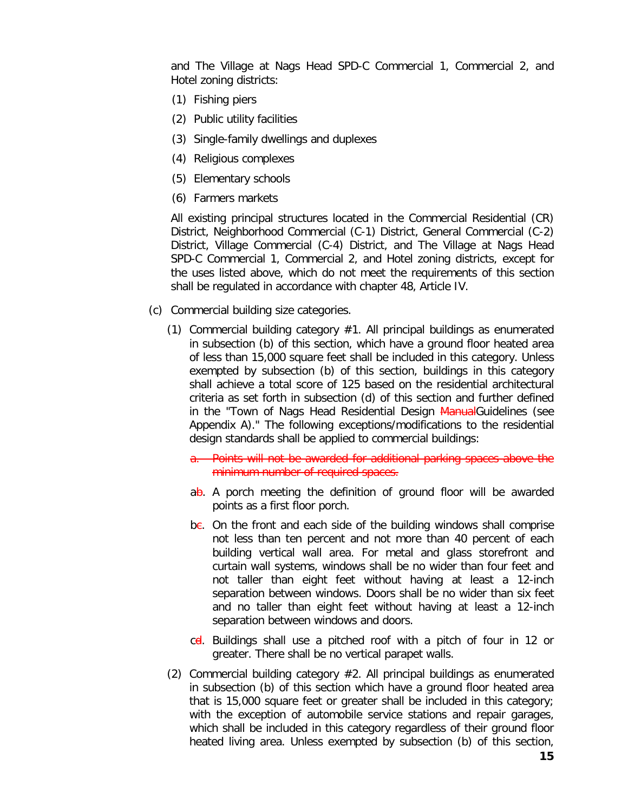and The Village at Nags Head SPD-C Commercial 1, Commercial 2, and Hotel zoning districts:

- (1) Fishing piers
- (2) Public utility facilities
- (3) Single-family dwellings and duplexes
- (4) Religious complexes
- (5) Elementary schools
- (6) Farmers markets

All existing principal structures located in the Commercial Residential (CR) District, Neighborhood Commercial (C-1) District, General Commercial (C-2) District, Village Commercial (C-4) District, and The Village at Nags Head SPD-C Commercial 1, Commercial 2, and Hotel zoning districts, except for the uses listed above, which do not meet the requirements of this section shall be regulated in accordance with chapter 48, Article IV.

- (c) Commercial building size categories.
	- (1) Commercial building category #1. All principal buildings as enumerated in subsection (b) of this section, which have a ground floor heated area of less than 15,000 square feet shall be included in this category. Unless exempted by subsection (b) of this section, buildings in this category shall achieve a total score of 125 based on the residential architectural criteria as set forth in subsection (d) of this section and further defined in the "Town of Nags Head Residential Design ManualGuidelines (see Appendix A)." The following exceptions/modifications to the residential design standards shall be applied to commercial buildings:
		- a. Points will not be awarded for additional parking spaces above the minimum number of required spaces.
		- $ab$ . A porch meeting the definition of ground floor will be awarded points as a first floor porch.
		- $be.$  On the front and each side of the building windows shall comprise not less than ten percent and not more than 40 percent of each building vertical wall area. For metal and glass storefront and curtain wall systems, windows shall be no wider than four feet and not taller than eight feet without having at least a 12-inch separation between windows. Doors shall be no wider than six feet and no taller than eight feet without having at least a 12-inch separation between windows and doors.
		- c<del>d</del>. Buildings shall use a pitched roof with a pitch of four in 12 or greater. There shall be no vertical parapet walls.
	- (2) Commercial building category #2. All principal buildings as enumerated in subsection (b) of this section which have a ground floor heated area that is 15,000 square feet or greater shall be included in this category; with the exception of automobile service stations and repair garages, which shall be included in this category regardless of their ground floor heated living area. Unless exempted by subsection (b) of this section,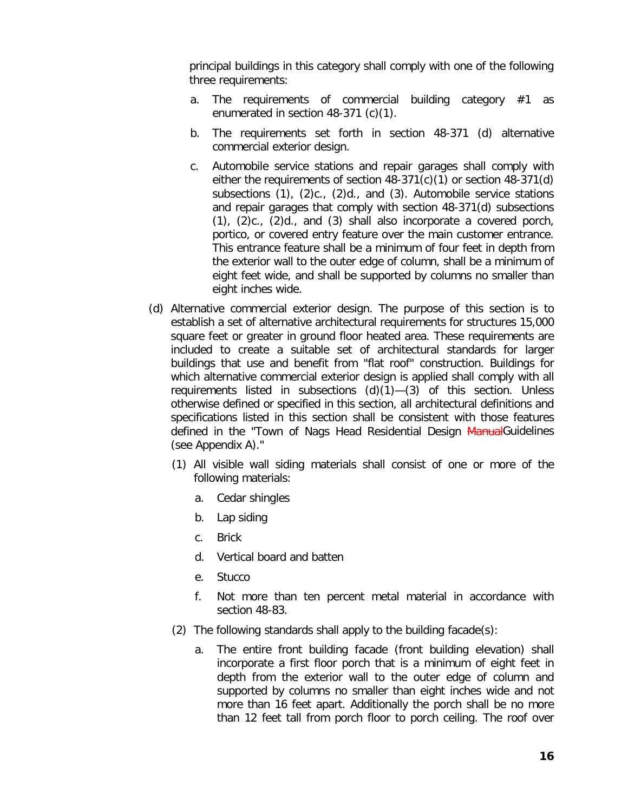principal buildings in this category shall comply with one of the following three requirements:

- a. The requirements of commercial building category #1 as enumerated in section 48-371 (c)(1).
- b. The requirements set forth in section 48-371 (d) alternative commercial exterior design.
- c. Automobile service stations and repair garages shall comply with either the requirements of section 48-371(c)(1) or section 48-371(d) subsections (1), (2)c., (2)d., and (3). Automobile service stations and repair garages that comply with section 48-371(d) subsections (1), (2)c., (2)d., and (3) shall also incorporate a covered porch, portico, or covered entry feature over the main customer entrance. This entrance feature shall be a minimum of four feet in depth from the exterior wall to the outer edge of column, shall be a minimum of eight feet wide, and shall be supported by columns no smaller than eight inches wide.
- (d) Alternative commercial exterior design. The purpose of this section is to establish a set of alternative architectural requirements for structures 15,000 square feet or greater in ground floor heated area. These requirements are included to create a suitable set of architectural standards for larger buildings that use and benefit from "flat roof" construction. Buildings for which alternative commercial exterior design is applied shall comply with all requirements listed in subsections  $(d)(1)$ — $(3)$  of this section. Unless otherwise defined or specified in this section, all architectural definitions and specifications listed in this section shall be consistent with those features defined in the "Town of Nags Head Residential Design ManualGuidelines (see Appendix A)."
	- (1) All visible wall siding materials shall consist of one or more of the following materials:
		- a. Cedar shingles
		- b. Lap siding
		- c. Brick
		- d. Vertical board and batten
		- e. Stucco
		- f. Not more than ten percent metal material in accordance with section 48-83.
	- (2) The following standards shall apply to the building facade(s):
		- a. The entire front building facade (front building elevation) shall incorporate a first floor porch that is a minimum of eight feet in depth from the exterior wall to the outer edge of column and supported by columns no smaller than eight inches wide and not more than 16 feet apart. Additionally the porch shall be no more than 12 feet tall from porch floor to porch ceiling. The roof over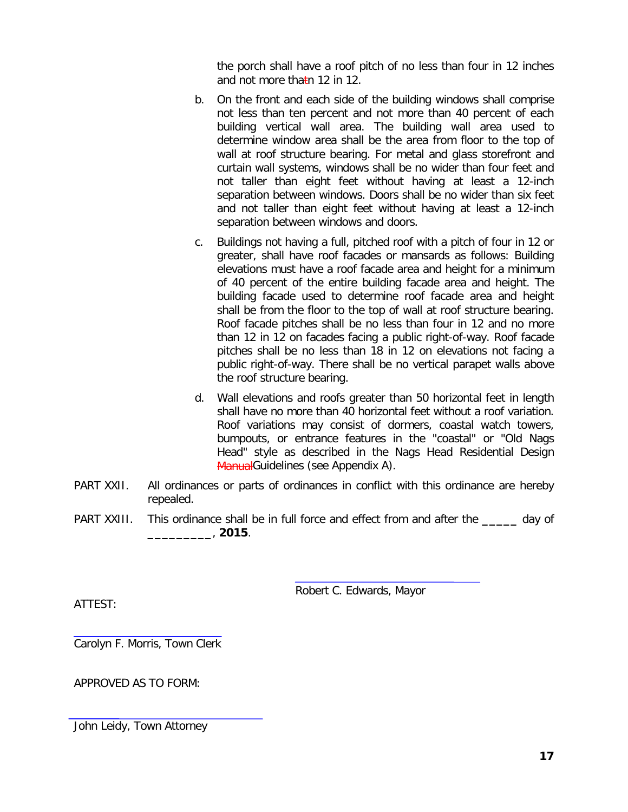the porch shall have a roof pitch of no less than four in 12 inches and not more thatn 12 in 12.

- b. On the front and each side of the building windows shall comprise not less than ten percent and not more than 40 percent of each building vertical wall area. The building wall area used to determine window area shall be the area from floor to the top of wall at roof structure bearing. For metal and glass storefront and curtain wall systems, windows shall be no wider than four feet and not taller than eight feet without having at least a 12-inch separation between windows. Doors shall be no wider than six feet and not taller than eight feet without having at least a 12-inch separation between windows and doors.
- c. Buildings not having a full, pitched roof with a pitch of four in 12 or greater, shall have roof facades or mansards as follows: Building elevations must have a roof facade area and height for a minimum of 40 percent of the entire building facade area and height. The building facade used to determine roof facade area and height shall be from the floor to the top of wall at roof structure bearing. Roof facade pitches shall be no less than four in 12 and no more than 12 in 12 on facades facing a public right-of-way. Roof facade pitches shall be no less than 18 in 12 on elevations not facing a public right-of-way. There shall be no vertical parapet walls above the roof structure bearing.
- d. Wall elevations and roofs greater than 50 horizontal feet in length shall have no more than 40 horizontal feet without a roof variation. Roof variations may consist of dormers, coastal watch towers, bumpouts, or entrance features in the "coastal" or "Old Nags Head" style as described in the Nags Head Residential Design ManualGuidelines (see Appendix A).
- PART XXII. All ordinances or parts of ordinances in conflict with this ordinance are hereby repealed.
- PART XXIII. This ordinance shall be in full force and effect from and after the **\_\_\_\_\_** day of **\_\_\_\_\_\_\_\_\_**, **2015**.

Robert C. Edwards, Mayor

ATTEST:

Carolyn F. Morris, Town Clerk

APPROVED AS TO FORM:

John Leidy, Town Attorney